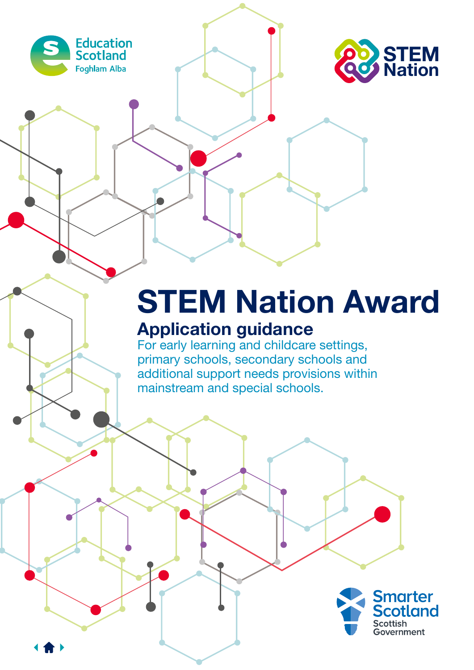



# **STEM Nation Award**

## **Application guidance**

For early learning and childcare settings, primary schools, secondary schools and additional support needs provisions within mainstream and special schools.

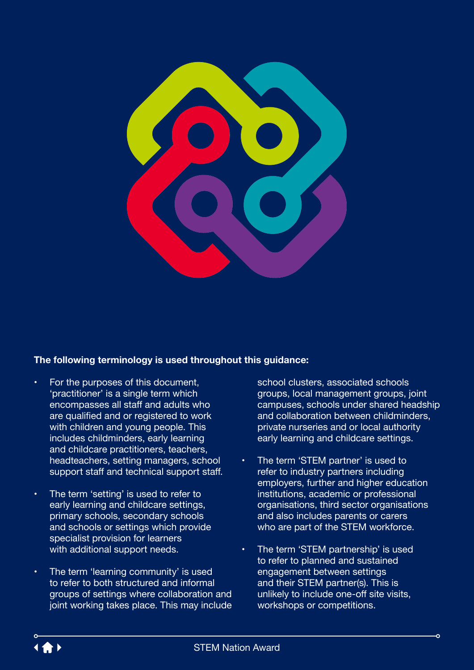

#### **The following terminology is used throughout this guidance:**

- For the purposes of this document, 'practitioner' is a single term which encompasses all staff and adults who are qualified and or registered to work with children and young people. This includes childminders, early learning and childcare practitioners, teachers, headteachers, setting managers, school support staff and technical support staff.
- The term 'setting' is used to refer to early learning and childcare settings, primary schools, secondary schools and schools or settings which provide specialist provision for learners with additional support needs.
- The term 'learning community' is used to refer to both structured and informal groups of settings where collaboration and joint working takes place. This may include

school clusters, associated schools groups, local management groups, joint campuses, schools under shared headship and collaboration between childminders, private nurseries and or local authority early learning and childcare settings.

- The term 'STEM partner' is used to refer to industry partners including employers, further and higher education institutions, academic or professional organisations, third sector organisations and also includes parents or carers who are part of the STEM workforce.
- The term 'STEM partnership' is used to refer to planned and sustained engagement between settings and their STEM partner(s). This is unlikely to include one-off site visits, workshops or competitions.

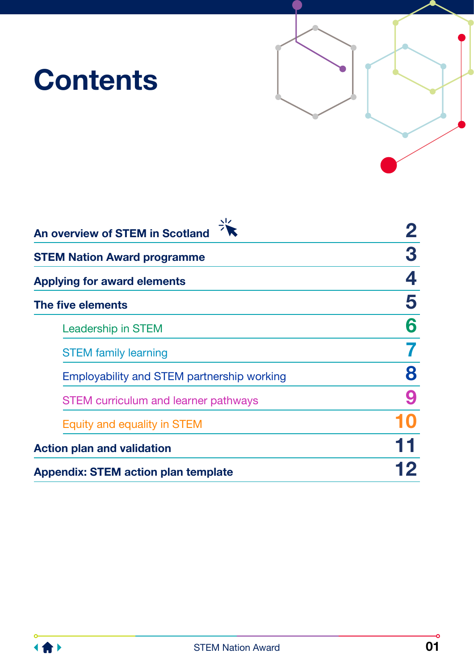# **Contents**



| $\sqrt{2}$<br>An overview of STEM in Scotland |   |
|-----------------------------------------------|---|
| <b>STEM Nation Award programme</b>            | 3 |
| <b>Applying for award elements</b>            | 4 |
| The five elements                             | 5 |
| Leadership in STEM                            |   |
| <b>STEM family learning</b>                   |   |
| Employability and STEM partnership working    | 8 |
| <b>STEM curriculum and learner pathways</b>   | 9 |
| Equity and equality in STEM                   |   |
| <b>Action plan and validation</b>             |   |
| <b>Appendix: STEM action plan template</b>    |   |

-o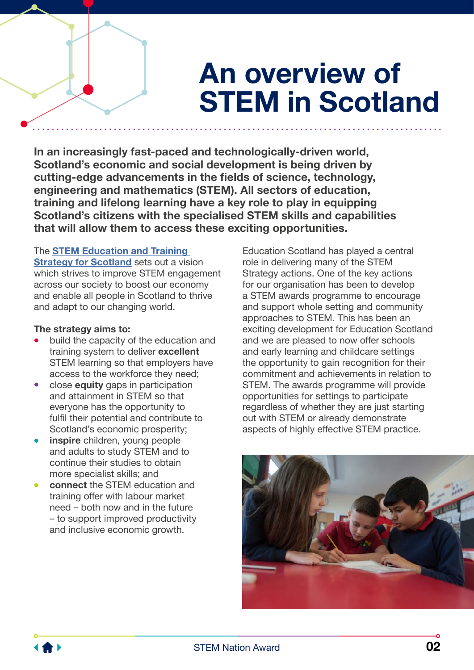# **An overview of STEM in Scotland**

<span id="page-3-0"></span>**In an increasingly fast-paced and technologically-driven world, Scotland's economic and social development is being driven by cutting-edge advancements in the fields of science, technology, engineering and mathematics (STEM). All sectors of education, training and lifelong learning have a key role to play in equipping Scotland's citizens with the specialised STEM skills and capabilities that will allow them to access these exciting opportunities.**

#### The **[STEM Education and Training](https://www.gov.scot/policies/science-and-research/stem-education-training/)**

**[Strategy for Scotland](https://www.gov.scot/policies/science-and-research/stem-education-training/)** sets out a vision which strives to improve STEM engagement across our society to boost our economy and enable all people in Scotland to thrive and adapt to our changing world.

#### **The strategy aims to:**

- build the capacity of the education and training system to deliver **excellent** STEM learning so that employers have access to the workforce they need;
- • close **equity** gaps in participation and attainment in STEM so that everyone has the opportunity to fulfil their potential and contribute to Scotland's economic prosperity;
- **inspire** children, young people and adults to study STEM and to continue their studies to obtain more specialist skills; and
- **connect** the STEM education and training offer with labour market need – both now and in the future – to support improved productivity and inclusive economic growth.

Education Scotland has played a central role in delivering many of the STEM Strategy actions. One of the key actions for our organisation has been to develop a STEM awards programme to encourage and support whole setting and community approaches to STEM. This has been an exciting development for Education Scotland and we are pleased to now offer schools and early learning and childcare settings the opportunity to gain recognition for their commitment and achievements in relation to STEM. The awards programme will provide opportunities for settings to participate regardless of whether they are just starting out with STEM or already demonstrate aspects of highly effective STEM practice.



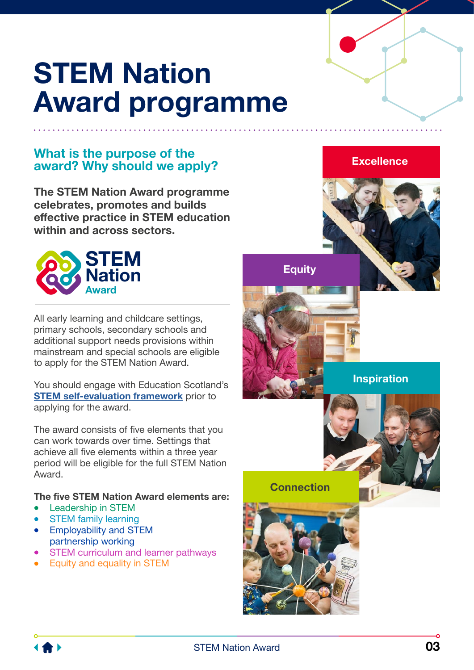# <span id="page-4-0"></span>**STEM Nation Award programme**

### **What is the purpose of the award? Why should we apply?**

**The STEM Nation Award programme celebrates, promotes and builds effective practice in STEM education within and across sectors.**



All early learning and childcare settings, primary schools, secondary schools and additional support needs provisions within mainstream and special schools are eligible to apply for the STEM Nation Award.

You should engage with Education Scotland's **[STEM self-evaluation framework](https://education.gov.scot/improvement/learning-resources/STEM-self-evaluation)** prior to applying for the award.

The award consists of five elements that you can work towards over time. Settings that achieve all five elements within a three year period will be eligible for the full STEM Nation Award.

#### **The five STEM Nation Award elements are:**

- Leadership in STEM
- **STEM family learning**
- Employability and STEM partnership working
- **STEM curriculum and learner pathways**
- Equity and equality in STEM



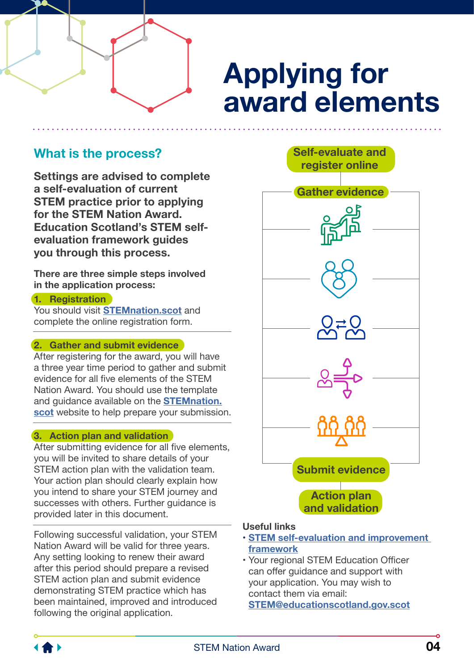# **Applying for award elements**

**Self-evaluate and register online**

### <span id="page-5-0"></span>**What is the process?**

**Settings are advised to complete a self-evaluation of current STEM practice prior to applying for the STEM Nation Award. Education Scotland's STEM selfevaluation framework guides you through this process.** 

**There are three simple steps involved in the application process:**

#### **1. Registration**

You should visit **[STEMnation.scot](http://STEMnation.scot)** and complete the online registration form.

#### **2. Gather and submit evidence**

After registering for the award, you will have a three year time period to gather and submit evidence for all five elements of the STEM Nation Award. You should use the template and guidance available on the **[STEMnation.](http://STEMnation.scot) [scot](http://STEMnation.scot)** website to help prepare your submission.

#### **3. Action plan and validation**

After submitting evidence for all five elements, you will be invited to share details of your STEM action plan with the validation team. Your action plan should clearly explain how you intend to share your STEM journey and successes with others. Further guidance is provided later in this document.

Following successful validation, your STEM Nation Award will be valid for three years. Any setting looking to renew their award after this period should prepare a revised STEM action plan and submit evidence demonstrating STEM practice which has been maintained, improved and introduced following the original application.



#### **Useful links**

- **[STEM self-evaluation and improvement](https://education.gov.scot/improvement/learning-resources/STEM-self-evaluation)  [framework](https://education.gov.scot/improvement/learning-resources/STEM-self-evaluation)**
- Your regional STEM Education Officer can offer guidance and support with your application. You may wish to contact them via email: **[STEM@educationscotland.gov.s](mailto:STEM%40educationscotland.gov.scot?subject=)cot**

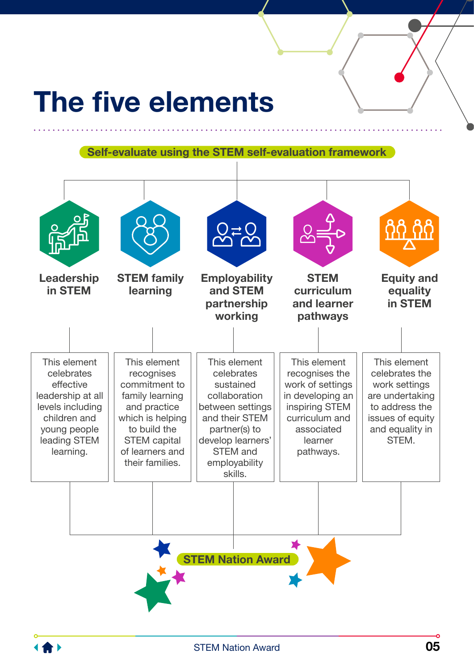# <span id="page-6-0"></span>**The five elements**

**Self-evaluate using the STEM self-evaluation framework**



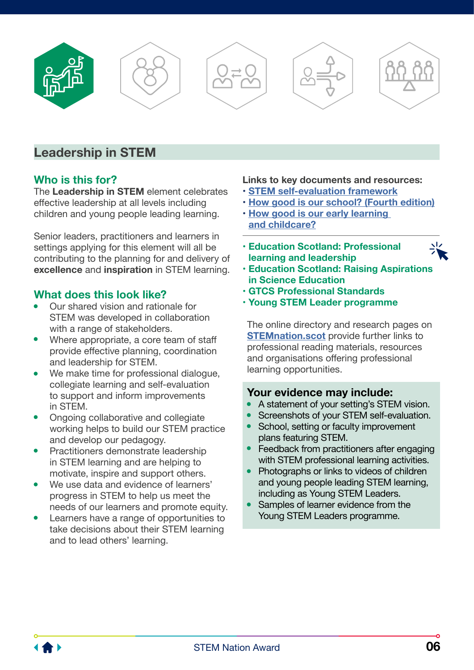<span id="page-7-0"></span>









### **Leadership in STEM**

#### **Who is this for?**

The **Leadership in STEM** element celebrates effective leadership at all levels including children and young people leading learning.

Senior leaders, practitioners and learners in settings applying for this element will all be contributing to the planning for and delivery of **excellence** and **inspiration** in STEM learning.

#### **What does this look like?**

- Our shared vision and rationale for STEM was developed in collaboration with a range of stakeholders.
- Where appropriate, a core team of staff provide effective planning, coordination and leadership for STEM.
- We make time for professional dialogue, collegiate learning and self-evaluation to support and inform improvements in STEM.
- Ongoing collaborative and collegiate working helps to build our STEM practice and develop our pedagogy.
- Practitioners demonstrate leadership in STEM learning and are helping to motivate, inspire and support others.
- We use data and evidence of learners' progress in STEM to help us meet the needs of our learners and promote equity.
- • Learners have a range of opportunities to take decisions about their STEM learning and to lead others' learning.

#### **Links to key documents and resources:**

- **[STEM self-evaluation framework](https://education.gov.scot/improvement/learning-resources/STEM-self-evaluation)**
- **[How good is our school? \(Fourth edition\)](https://education.gov.scot/improvement/self-evaluation/HGIOS4)**
- **[How good is our early learning](https://education.gov.scot/improvement/self-evaluation/how-good-is-our-early-learning-and-childcare/)  [and childcare?](https://education.gov.scot/improvement/self-evaluation/how-good-is-our-early-learning-and-childcare/)**
- **[Education Scotland: Professional](https://professionallearning.education.gov.scot)  [learning and leadership](https://professionallearning.education.gov.scot)**
- 
- **[Education Scotland: Raising Aspirations](https://education.gov.scot/improvement/learning-resources/raise/)  [in Science Education](https://education.gov.scot/improvement/learning-resources/raise/)**
- **[GTCS Professional Standards](https://www.gtcs.org.uk/professional-standards/professional-standards.aspx)**
- **[Young STEM Leader programme](https://www.youngstemleader.scot/)**

The online directory and research pages on **[STEMnation.scot](http://STEMnation.scot)** provide further links to professional reading materials, resources and organisations offering professional learning opportunities.

- A statement of your setting's STEM vision.
- Screenshots of your STEM self-evaluation.
- School, setting or faculty improvement plans featuring STEM.
- Feedback from practitioners after engaging with STEM professional learning activities.
- Photographs or links to videos of children and young people leading STEM learning, including as Young STEM Leaders.
- Samples of learner evidence from the Young STEM Leaders programme.

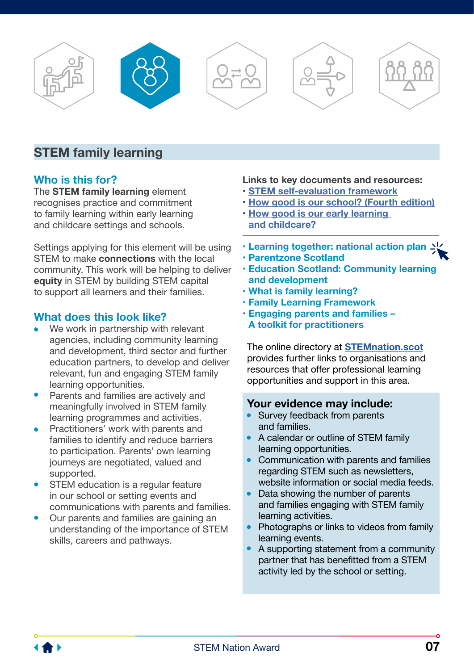<span id="page-8-0"></span>









### **STEM family learning**

#### **Who is this for?**

The **STEM family learning** element recognises practice and commitment to family learning within early learning and childcare settings and schools.

Settings applying for this element will be using STEM to make **connections** with the local community. This work will be helping to deliver **equity** in STEM by building STEM capital to support all learners and their families.

#### **What does this look like?**

- We work in partnership with relevant agencies, including community learning and development, third sector and further education partners, to develop and deliver relevant, fun and engaging STEM family learning opportunities.
- Parents and families are actively and meaningfully involved in STEM family learning programmes and activities.
- Practitioners' work with parents and families to identify and reduce barriers to participation. Parents' own learning journeys are negotiated, valued and supported.
- STEM education is a regular feature in our school or setting events and communications with parents and families.
- Our parents and families are gaining an understanding of the importance of STEM skills, careers and pathways.

#### **Links to key documents and resources:**

- **[STEM self-evaluation framework](https://education.gov.scot/improvement/learning-resources/STEM-self-evaluation)**
- **[How good is our school? \(Fourth edition\)](https://education.gov.scot/improvement/self-evaluation/HGIOS4)**
- **[How good is our early learning](https://education.gov.scot/improvement/self-evaluation/how-good-is-our-early-learning-and-childcare/)  [and childcare?](https://education.gov.scot/improvement/self-evaluation/how-good-is-our-early-learning-and-childcare/)**
- **[Learning together: national action plan](https://www.gov.scot/publications/learning-together-scotlands-national-action-plan-parental-involvement-parental-engagement/)**
- **[Parentzone Scotland](https://education.gov.scot/parentzone)**
- **[Education Scotland: Community learning](https://education.gov.scot/education-scotland/scottish-education-system/cld/)  [and development](https://education.gov.scot/education-scotland/scottish-education-system/cld/)**
- **[What is family learning?](https://education.gov.scot/improvement/research/what-is-family-learning)**
- **[Family Learning Framework](https://education.gov.scot/improvement/practice-exemplars/family-learning-framework/)**
- **[Engaging parents and families](https://education.gov.scot/improvement/learning-resources/engaging-parents-and-families-a-toolkit-for-practitioners/)  [A toolkit for practitioners](https://education.gov.scot/improvement/learning-resources/engaging-parents-and-families-a-toolkit-for-practitioners/)**

The online directory at **[STEMnation.scot](http://STEMnation.scot)** provides further links to organisations and resources that offer professional learning opportunities and support in this area.

- Survey feedback from parents and families.
- A calendar or outline of STEM family learning opportunities.
- Communication with parents and families regarding STEM such as newsletters. website information or social media feeds.
- Data showing the number of parents and families engaging with STEM family learning activities.
- Photographs or links to videos from family learning events.
- A supporting statement from a community partner that has benefitted from a STEM activity led by the school or setting.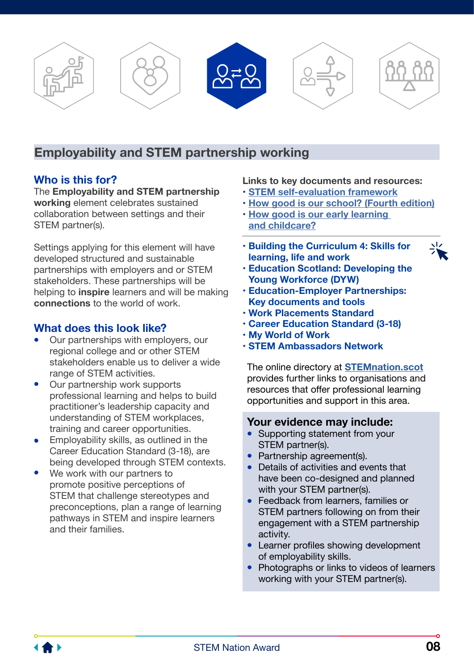<span id="page-9-0"></span>

### **Employability and STEM partnership working**

#### **Who is this for?**

The **Employability and STEM partnership working** element celebrates sustained collaboration between settings and their STEM partner(s).

Settings applying for this element will have developed structured and sustainable partnerships with employers and or STEM stakeholders. These partnerships will be helping to **inspire** learners and will be making **connections** to the world of work.

#### **What does this look like?**

- Our partnerships with employers, our regional college and or other STEM stakeholders enable us to deliver a wide range of STEM activities.
- Our partnership work supports professional learning and helps to build practitioner's leadership capacity and understanding of STEM workplaces, training and career opportunities.
- Employability skills, as outlined in the Career Education Standard (3-18), are being developed through STEM contexts.
- We work with our partners to promote positive perceptions of STEM that challenge stereotypes and preconceptions, plan a range of learning pathways in STEM and inspire learners and their families.

#### **Links to key documents and resources:**

- **[STEM self-evaluation framework](https://education.gov.scot/improvement/learning-resources/STEM-self-evaluation)**
- **[How good is our school? \(Fourth edition\)](https://education.gov.scot/improvement/self-evaluation/HGIOS4)**
- **[How good is our early learning](https://education.gov.scot/improvement/self-evaluation/how-good-is-our-early-learning-and-childcare/)  [and childcare?](https://education.gov.scot/improvement/self-evaluation/how-good-is-our-early-learning-and-childcare/)**
- **[Building the Curriculum 4: Skills for](https://education.gov.scot/education-scotland/scottish-education-system/policy-for-scottish-education/policy-drivers/cfe-building-from-the-statement-appendix-incl-btc1-5/building-the-curriculum)  [learning, life and work](https://education.gov.scot/education-scotland/scottish-education-system/policy-for-scottish-education/policy-drivers/cfe-building-from-the-statement-appendix-incl-btc1-5/building-the-curriculum)**
- **[Education Scotland: Developing the](https://education.gov.scot/education-scotland/scottish-education-system/policy-for-scottish-education/policy-drivers/developing-the-young-workforce-dyw/)  [Young Workforce \(DYW\)](https://education.gov.scot/education-scotland/scottish-education-system/policy-for-scottish-education/policy-drivers/developing-the-young-workforce-dyw/)**
- **[Education-Employer Partnerships:](https://education.gov.scot/improvement/self-evaluation/education-employer-partnerships)  [Key documents and tools](https://education.gov.scot/improvement/self-evaluation/education-employer-partnerships)**
- **[Work Placements Standard](https://education.gov.scot/Documents/DYW_WorkPlacementStandard0915.pdf)**
- **[Career Education Standard \(3-18](https://www.education.gov.scot/Documents/dyw2-career-education-standard-0915.pdf))**
- **[My World of Work](https://www.myworldofwork.co.uk)**
- **[STEM Ambassadors Network](https://www.stem.org.uk/stem-ambassadors)**

The online directory at **[STEMnation.scot](http://STEMnation.scot)** provides further links to organisations and resources that offer professional learning opportunities and support in this area.

- Supporting statement from your STEM partner(s).
- Partnership agreement(s).
- • Details of activities and events that have been co-designed and planned with your STEM partner(s).
- Feedback from learners, families or STEM partners following on from their engagement with a STEM partnership activity.
- Learner profiles showing development of employability skills.
- Photographs or links to videos of learners working with your STEM partner(s).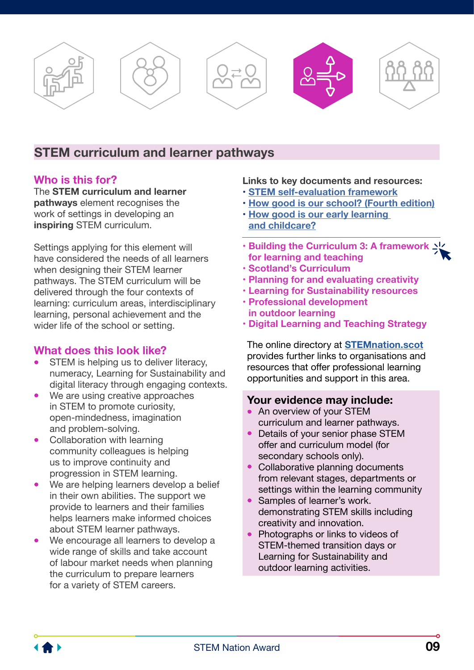<span id="page-10-0"></span>

### **STEM curriculum and learner pathways**

#### **Who is this for?**

The **STEM curriculum and learner pathways** element recognises the work of settings in developing an **inspiring** STEM curriculum.

Settings applying for this element will have considered the needs of all learners when designing their STEM learner pathways. The STEM curriculum will be delivered through the four contexts of learning: curriculum areas, interdisciplinary learning, personal achievement and the wider life of the school or setting.

#### **What does this look like?**

- STEM is helping us to deliver literacy, numeracy, Learning for Sustainability and digital literacy through engaging contexts.
- We are using creative approaches in STEM to promote curiosity, open-mindedness, imagination and problem-solving.
- Collaboration with learning community colleagues is helping us to improve continuity and progression in STEM learning.
- We are helping learners develop a belief in their own abilities. The support we provide to learners and their families helps learners make informed choices about STEM learner pathways.
- We encourage all learners to develop a wide range of skills and take account of labour market needs when planning the curriculum to prepare learners for a variety of STEM careers.

#### **Links to key documents and resources:**

- **[STEM self-evaluation framework](https://education.gov.scot/improvement/learning-resources/STEM-self-evaluation)**
- **[How good is our school? \(Fourth edition\)](https://education.gov.scot/improvement/self-evaluation/HGIOS4)**
- **[How good is our early learning](https://education.gov.scot/improvement/self-evaluation/how-good-is-our-early-learning-and-childcare/)  [and childcare?](https://education.gov.scot/improvement/self-evaluation/how-good-is-our-early-learning-and-childcare/)**
- **[Building the Curriculum 3: A framework](https://education.gov.scot/education-scotland/scottish-education-system/policy-for-scottish-education/policy-drivers/cfe-building-from-the-statement-appendix-incl-btc1-5/building-the-curriculum)  [for learning and teaching](https://education.gov.scot/education-scotland/scottish-education-system/policy-for-scottish-education/policy-drivers/cfe-building-from-the-statement-appendix-incl-btc1-5/building-the-curriculum)**
- **[Scotland's Curriculum](https://scotlandscurriculum.scot)**
- **[Planning for and evaluating creativity](https://education.gov.scot/improvement/self-evaluation/planning-for-and-evaluating-creativity/)**
- **[Learning for Sustainability resources](https://education.gov.scot/improvement/learning-resources/a-summary-of-learning-for-sustainability-resources)**
- **[Professional development](https://education.gov.scot/improvement/learning-resources/support-for-professional-development-in-outdoor-learning/)  [in outdoor learning](https://education.gov.scot/improvement/learning-resources/support-for-professional-development-in-outdoor-learning/)**
- **[Digital Learning and Teaching Strategy](https://education.gov.scot/improvement/practice-exemplars/enhancing-learning-and-teaching-through-the-use-of-digital-technology-a-digital-learning-and-teaching-strategy-for-scotland/)**

The online directory at **[STEMnation.scot](http://STEMnation.scot)** provides further links to organisations and resources that offer professional learning opportunities and support in this area.

- An overview of your STEM curriculum and learner pathways.
- Details of your senior phase STEM offer and curriculum model (for secondary schools only).
- Collaborative planning documents from relevant stages, departments or settings within the learning community
- Samples of learner's work. demonstrating STEM skills including creativity and innovation.
- Photographs or links to videos of STEM-themed transition days or Learning for Sustainability and outdoor learning activities.

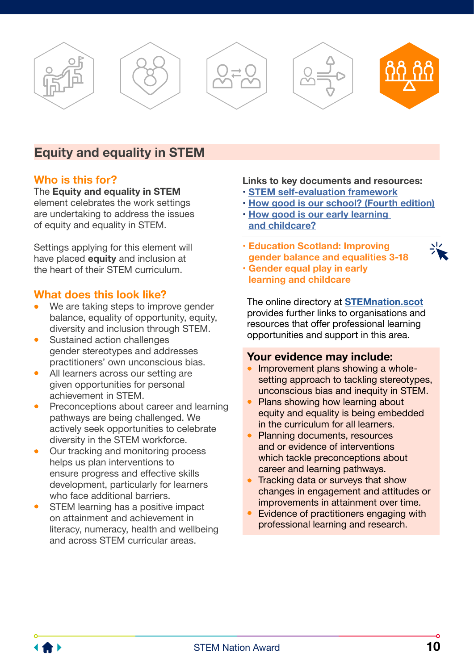<span id="page-11-0"></span>









### **Equity and equality in STEM**

#### **Who is this for?**

The **Equity and equality in STEM** element celebrates the work settings are undertaking to address the issues of equity and equality in STEM.

Settings applying for this element will have placed **equity** and inclusion at the heart of their STEM curriculum.

#### **What does this look like?**

- We are taking steps to improve gender balance, equality of opportunity, equity, diversity and inclusion through STEM.
- Sustained action challenges gender stereotypes and addresses practitioners' own unconscious bias.
- All learners across our setting are given opportunities for personal achievement in STEM.
- Preconceptions about career and learning pathways are being challenged. We actively seek opportunities to celebrate diversity in the STEM workforce.
- Our tracking and monitoring process helps us plan interventions to ensure progress and effective skills development, particularly for learners who face additional barriers.
- STEM learning has a positive impact on attainment and achievement in literacy, numeracy, health and wellbeing and across STEM curricular areas.

#### **Links to key documents and resources:**

- **[STEM self-evaluation framework](https://education.gov.scot/improvement/learning-resources/STEM-self-evaluation)**
- **[How good is our school? \(Fourth edition\)](https://education.gov.scot/improvement/self-evaluation/HGIOS4)**
- **[How good is our early learning](https://education.gov.scot/improvement/self-evaluation/how-good-is-our-early-learning-and-childcare/)  [and childcare?](https://education.gov.scot/improvement/self-evaluation/how-good-is-our-early-learning-and-childcare/)**
- **[Education Scotland: Improving](https://education.gov.scot/improvement/learning-resources/improving-gender-balance-3-18)  [gender balance and equalities 3-18](https://education.gov.scot/improvement/learning-resources/improving-gender-balance-3-18)**



• **[Gender equal play in early](https://hub.careinspectorate.com/how-we-support-improvement/care-inspectorate-programmes-and-publications/gender-equal-play-in-early-learning-and-childcare/)  [learning and childcare](https://hub.careinspectorate.com/how-we-support-improvement/care-inspectorate-programmes-and-publications/gender-equal-play-in-early-learning-and-childcare/)**

The online directory at **[STEMnation.scot](http://STEMnation.scot)** provides further links to organisations and resources that offer professional learning opportunities and support in this area.

- Improvement plans showing a wholesetting approach to tackling stereotypes, unconscious bias and inequity in STEM.
- Plans showing how learning about equity and equality is being embedded in the curriculum for all learners.
- Planning documents, resources and or evidence of interventions which tackle preconceptions about career and learning pathways.
- Tracking data or surveys that show changes in engagement and attitudes or improvements in attainment over time.
- Evidence of practitioners engaging with professional learning and research.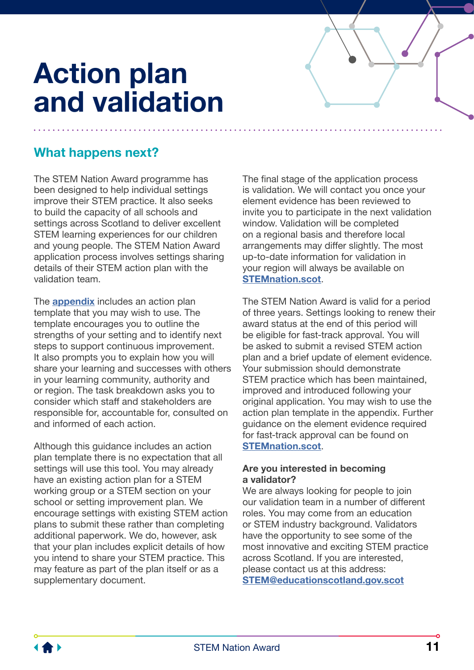# <span id="page-12-0"></span>**Action plan and validation**

## **What happens next?**

The STEM Nation Award programme has been designed to help individual settings improve their STEM practice. It also seeks to build the capacity of all schools and settings across Scotland to deliver excellent STEM learning experiences for our children and young people. The STEM Nation Award application process involves settings sharing details of their STEM action plan with the validation team.

The **[appendix](#page-13-0)** includes an action plan template that you may wish to use. The template encourages you to outline the strengths of your setting and to identify next steps to support continuous improvement. It also prompts you to explain how you will share your learning and successes with others in your learning community, authority and or region. The task breakdown asks you to consider which staff and stakeholders are responsible for, accountable for, consulted on and informed of each action.

Although this guidance includes an action plan template there is no expectation that all settings will use this tool. You may already have an existing action plan for a STEM working group or a STEM section on your school or setting improvement plan. We encourage settings with existing STEM action plans to submit these rather than completing additional paperwork. We do, however, ask that your plan includes explicit details of how you intend to share your STEM practice. This may feature as part of the plan itself or as a supplementary document.

The final stage of the application process is validation. We will contact you once your element evidence has been reviewed to invite you to participate in the next validation window. Validation will be completed on a regional basis and therefore local arrangements may differ slightly. The most up-to-date information for validation in your region will always be available on **[STEMnation.scot](http://STEMnation.scot)**.

The STEM Nation Award is valid for a period of three years. Settings looking to renew their award status at the end of this period will be eligible for fast-track approval. You will be asked to submit a revised STEM action plan and a brief update of element evidence. Your submission should demonstrate STEM practice which has been maintained, improved and introduced following your original application. You may wish to use the action plan template in the appendix. Further guidance on the element evidence required for fast-track approval can be found on **[STEMnation.scot](http://STEMnation.scot)**.

#### **Are you interested in becoming a validator?**

We are always looking for people to join our validation team in a number of different roles. You may come from an education or STEM industry background. Validators have the opportunity to see some of the most innovative and exciting STEM practice across Scotland. If you are interested, please contact us at this address: **[STEM@educationscotland.gov.scot](mailto:STEM%40educationscotland.gov.scot?subject=)**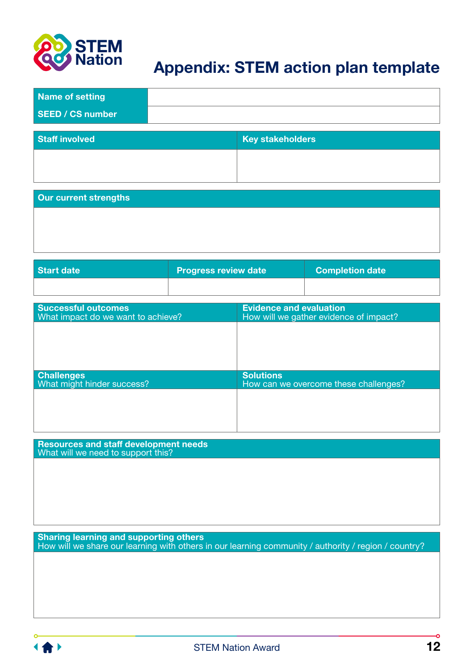<span id="page-13-0"></span>

## **Appendix: STEM action plan template**

| Name of setting         |                         |
|-------------------------|-------------------------|
| <b>SEED / CS number</b> |                         |
|                         |                         |
| <b>Staff involved</b>   | <b>Key stakeholders</b> |

| <b>Our current strengths</b> |  |
|------------------------------|--|
|                              |  |
|                              |  |

| Start date | <b>Progress review date</b> | <b>Completion date</b> |
|------------|-----------------------------|------------------------|
|            |                             |                        |

| <b>Successful outcomes</b><br>What impact do we want to achieve? | <b>Evidence and evaluation</b><br>How will we gather evidence of impact? |
|------------------------------------------------------------------|--------------------------------------------------------------------------|
|                                                                  |                                                                          |
|                                                                  |                                                                          |
|                                                                  |                                                                          |
| <b>Challenges</b><br>What might hinder success?                  | <b>Solutions</b><br>How can we overcome these challenges?                |
|                                                                  |                                                                          |
|                                                                  |                                                                          |
|                                                                  |                                                                          |

**Resources and staff development needs**  What will we need to support this?

**Sharing learning and supporting others** How will we share our learning with others in our learning community / authority / region / country?



 $\bullet$ 

ı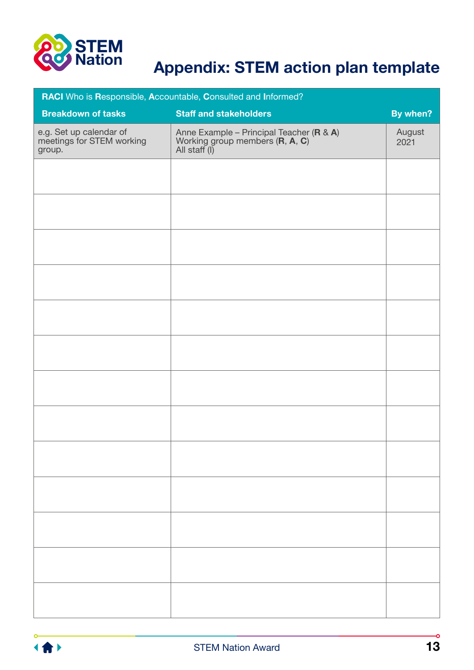

# **Appendix: STEM action plan template**

| RACI Who is Responsible, Accountable, Consulted and Informed?  |                                                                                                                                       |                |  |  |
|----------------------------------------------------------------|---------------------------------------------------------------------------------------------------------------------------------------|----------------|--|--|
| <b>Breakdown of tasks</b>                                      | <b>Staff and stakeholders</b>                                                                                                         | By when?       |  |  |
| e.g. Set up calendar of<br>meetings for STEM working<br>group. | Anne Example – Principal Teacher ( <b>R</b> & <b>A</b> )<br>Working group members ( <b>R</b> , <b>A</b> , <b>C</b> )<br>All staff (I) | August<br>2021 |  |  |
|                                                                |                                                                                                                                       |                |  |  |
|                                                                |                                                                                                                                       |                |  |  |
|                                                                |                                                                                                                                       |                |  |  |
|                                                                |                                                                                                                                       |                |  |  |
|                                                                |                                                                                                                                       |                |  |  |
|                                                                |                                                                                                                                       |                |  |  |
|                                                                |                                                                                                                                       |                |  |  |
|                                                                |                                                                                                                                       |                |  |  |
|                                                                |                                                                                                                                       |                |  |  |
|                                                                |                                                                                                                                       |                |  |  |
|                                                                |                                                                                                                                       |                |  |  |
|                                                                |                                                                                                                                       |                |  |  |
|                                                                |                                                                                                                                       |                |  |  |



-O